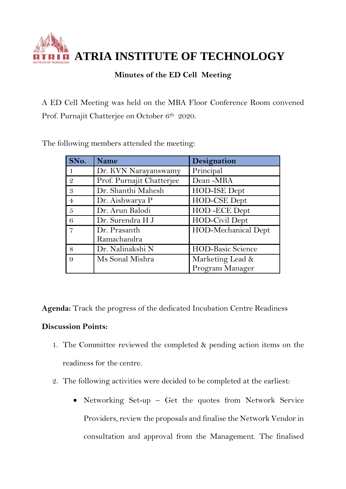**ATRIA INSTITUTE OF TECHNOLOGY**

## **Minutes of the ED Cell Meeting**

A ED Cell Meeting was held on the MBA Floor Conference Room convened Prof. Purnajit Chatterjee on October 6<sup>th</sup> 2020.

| SNo.           | <b>Name</b>               | Designation              |
|----------------|---------------------------|--------------------------|
|                | Dr. KVN Narayanswamy      | Principal                |
| $\mathcal{Q}$  | Prof. Purnajit Chatterjee | Dean-MBA                 |
| 3              | Dr. Shanthi Mahesh        | HOD-ISE Dept             |
| $\overline{4}$ | Dr. Aishwarya P           | HOD-CSE Dept             |
| 5              | Dr. Arun Balodi           | HOD-ECE Dept             |
| 6              | Dr. Surendra H J          | HOD-Civil Dept           |
|                | Dr. Prasanth              | HOD-Mechanical Dept      |
|                | Ramachandra               |                          |
| 8              | Dr. Nalinakshi N          | <b>HOD-Basic Science</b> |
| 9              | Ms Sonal Mishra           | Marketing Lead &         |
|                |                           | Program Manager          |

The following members attended the meeting:

**Agenda:** Track the progress of the dedicated Incubation Centre Readiness

## **Discussion Points:**

- 1. The Committee reviewed the completed & pending action items on the readiness for the centre.
- 2. The following activities were decided to be completed at the earliest:
	- Networking Set-up Get the quotes from Network Service Providers, review the proposals and finalise the Network Vendor in consultation and approval from the Management. The finalised